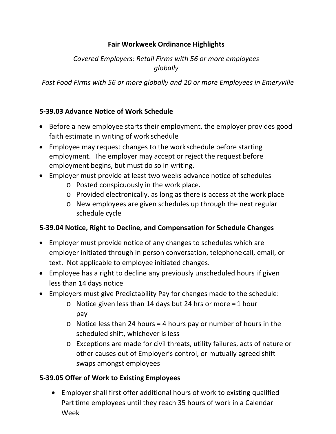## **Fair Workweek Ordinance Highlights**

# *Covered Employers: Retail Firms with 56 or more employees globally*

*Fast Food Firms with 56 or more globally and 20 or more Employees in Emeryville*

## **5‐39.03 Advance Notice of Work Schedule**

- Before a new employee starts their employment, the employer provides good faith estimate in writing of work schedule
- Employee may request changes to the workschedule before starting employment. The employer may accept or reject the request before employment begins, but must do so in writing.
- Employer must provide at least two weeks advance notice of schedules
	- o Posted conspicuously in the work place.
	- o Provided electronically, as long as there is access at the work place
	- o New employees are given schedules up through the next regular schedule cycle

#### **5‐39.04 Notice, Right to Decline, and Compensation for Schedule Changes**

- Employer must provide notice of any changes to schedules which are employer initiated through in person conversation, telephone call, email, or text. Not applicable to employee initiated changes.
- Employee has a right to decline any previously unscheduled hours if given less than 14 days notice
- Employers must give Predictability Pay for changes made to the schedule:
	- o Notice given less than 14 days but 24 hrs or more = 1 hour pay
	- $\circ$  Notice less than 24 hours = 4 hours pay or number of hours in the scheduled shift, whichever is less
	- o Exceptions are made for civil threats, utility failures, acts of nature or other causes out of Employer's control, or mutually agreed shift swaps amongst employees

## **5‐39.05 Offer of Work to Existing Employees**

 Employer shall first offer additional hours of work to existing qualified Part time employees until they reach 35 hours of work in a Calendar Week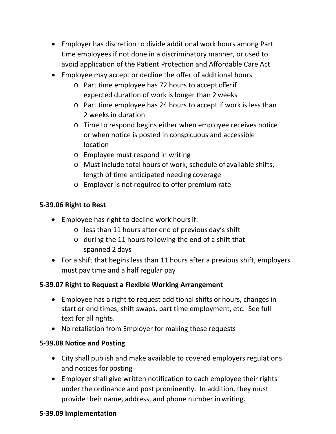- Employer has discretion to divide additional work hours among Part time employees if not done in a discriminatory manner, or used to avoid application of the Patient Protection and Affordable Care Act
- Employee may accept or decline the offer of additional hours
	- o Part time employee has 72 hours to accept offerif expected duration of work is longer than 2 weeks
	- o Part time employee has 24 hours to accept if work is less than 2 weeks in duration
	- o Time to respond begins either when employee receives notice or when notice is posted in conspicuous and accessible location
	- o Employee must respond in writing
	- o Must include total hours of work, schedule of available shifts, length of time anticipated needing coverage
	- o Employer is not required to offer premium rate

## **5‐39.06 Right to Rest**

- Employee has right to decline work hours if:
	- o less than 11 hours after end of previous day's shift
	- o during the 11 hours following the end of a shift that spanned 2 days
- For a shift that begins less than 11 hours after a previous shift, employers must pay time and a half regular pay

## **5‐39.07 Right to Request a Flexible Working Arrangement**

- Employee has a right to request additional shifts or hours, changes in start or end times, shift swaps, part time employment, etc. See full text for all rights.
- No retaliation from Employer for making these requests

## **5‐39.08 Notice and Posting**

- City shall publish and make available to covered employers regulations and notices for posting
- Employer shall give written notification to each employee their rights under the ordinance and post prominently. In addition, they must provide their name, address, and phone number in writing.

## **5‐39.09 Implementation**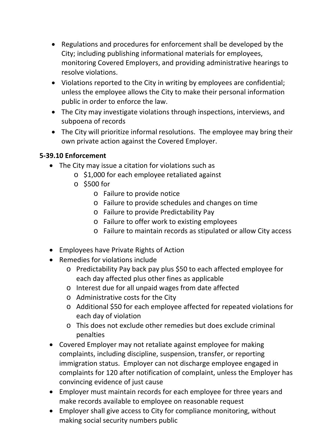- Regulations and procedures for enforcement shall be developed by the City; including publishing informational materials for employees, monitoring Covered Employers, and providing administrative hearings to resolve violations.
- Violations reported to the City in writing by employees are confidential; unless the employee allows the City to make their personal information public in order to enforce the law.
- The City may investigate violations through inspections, interviews, and subpoena of records
- The City will prioritize informal resolutions. The employee may bring their own private action against the Covered Employer.

## **5‐39.10 Enforcement**

- The City may issue a citation for violations such as
	- o \$1,000 for each employee retaliated against
	- o \$500 for
		- o Failure to provide notice
		- o Failure to provide schedules and changes on time
		- o Failure to provide Predictability Pay
		- o Failure to offer work to existing employees
		- o Failure to maintain records as stipulated or allow City access
- Employees have Private Rights of Action
- Remedies for violations include
	- o Predictability Pay back pay plus \$50 to each affected employee for each day affected plus other fines as applicable
	- o Interest due for all unpaid wages from date affected
	- o Administrative costs for the City
	- o Additional \$50 for each employee affected for repeated violations for each day of violation
	- o This does not exclude other remedies but does exclude criminal penalties
- Covered Employer may not retaliate against employee for making complaints, including discipline, suspension, transfer, or reporting immigration status. Employer can not discharge employee engaged in complaints for 120 after notification of complaint, unless the Employer has convincing evidence of just cause
- Employer must maintain records for each employee for three years and make records available to employee on reasonable request
- Employer shall give access to City for compliance monitoring, without making social security numbers public